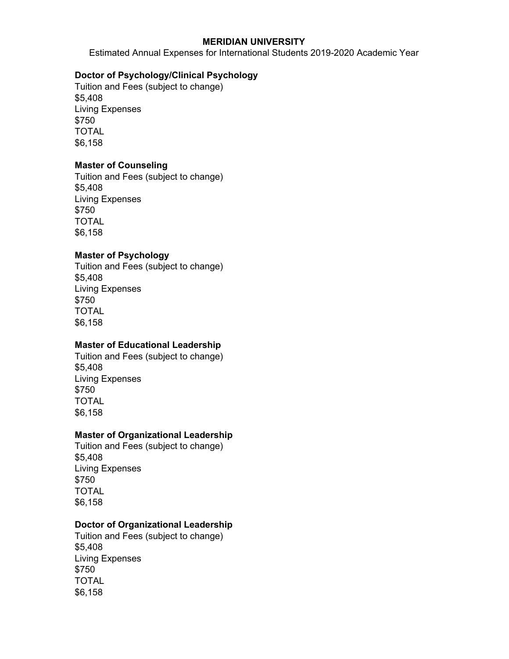#### **MERIDIAN UNIVERSITY**

Estimated Annual Expenses for International Students 2019-2020 Academic Year

## **Doctor of Psychology/Clinical Psychology**

Tuition and Fees (subject to change) \$5,408 Living Expenses \$750 TOTAL \$6,158

## **Master of Counseling**

Tuition and Fees (subject to change) \$5,408 Living Expenses \$750 TOTAL \$6,158

#### **Master of Psychology**

Tuition and Fees (subject to change) \$5,408 Living Expenses \$750 TOTAL \$6,158

## **Master of Educational Leadership**

Tuition and Fees (subject to change) \$5,408 Living Expenses \$750 TOTAL \$6,158

# **Master of Organizational Leadership**

Tuition and Fees (subject to change) \$5,408 Living Expenses \$750 TOTAL \$6,158

#### **Doctor of Organizational Leadership**

Tuition and Fees (subject to change) \$5,408 Living Expenses \$750 TOTAL \$6,158